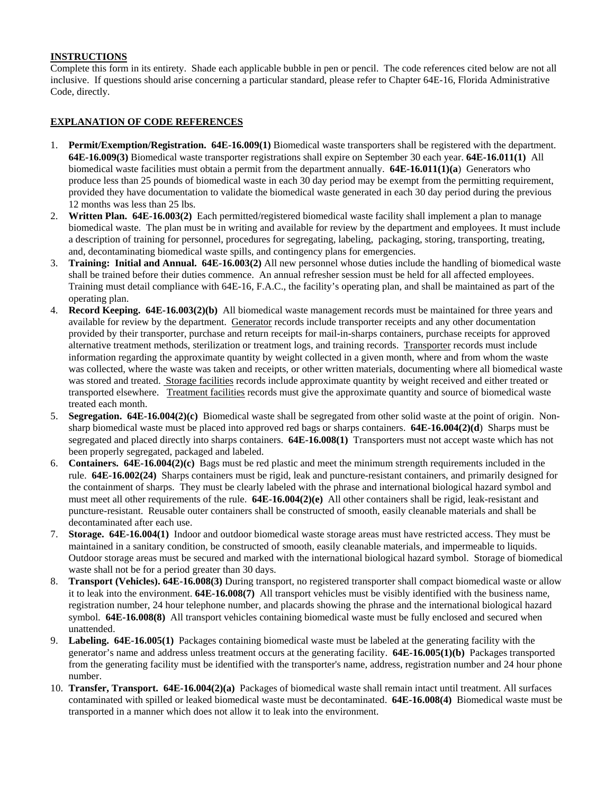## **INSTRUCTIONS**

Complete this form in its entirety. Shade each applicable bubble in pen or pencil. The code references cited below are not all inclusive. If questions should arise concerning a particular standard, please refer to Chapter 64E-16, Florida Administrative Code, directly.

## **EXPLANATION OF CODE REFERENCES**

- 1. **Permit/Exemption/Registration. 64E-16.009(1)** Biomedical waste transporters shall be registered with the department. **64E-16.009(3)** Biomedical waste transporter registrations shall expire on September 30 each year. **64E-16.011(1)** All biomedical waste facilities must obtain a permit from the department annually. **64E-16.011(1)(a**) Generators who produce less than 25 pounds of biomedical waste in each 30 day period may be exempt from the permitting requirement, provided they have documentation to validate the biomedical waste generated in each 30 day period during the previous 12 months was less than 25 lbs.
- 2. **Written Plan. 64E-16.003(2)** Each permitted/registered biomedical waste facility shall implement a plan to manage biomedical waste. The plan must be in writing and available for review by the department and employees. It must include a description of training for personnel, procedures for segregating, labeling, packaging, storing, transporting, treating, and, decontaminating biomedical waste spills, and contingency plans for emergencies.
- 3. **Training: Initial and Annual. 64E-16.003(2)** All new personnel whose duties include the handling of biomedical waste shall be trained before their duties commence. An annual refresher session must be held for all affected employees. Training must detail compliance with 64E-16, F.A.C., the facility's operating plan, and shall be maintained as part of the operating plan.
- 4. **Record Keeping. 64E-16.003(2)(b)** All biomedical waste management records must be maintained for three years and available for review by the department. Generator records include transporter receipts and any other documentation provided by their transporter, purchase and return receipts for mail-in-sharps containers, purchase receipts for approved alternative treatment methods, sterilization or treatment logs, and training records. Transporter records must include information regarding the approximate quantity by weight collected in a given month, where and from whom the waste was collected, where the waste was taken and receipts, or other written materials, documenting where all biomedical waste was stored and treated. Storage facilities records include approximate quantity by weight received and either treated or transported elsewhere. Treatment facilities records must give the approximate quantity and source of biomedical waste treated each month.
- 5. **Segregation. 64E-16.004(2)(c)** Biomedical waste shall be segregated from other solid waste at the point of origin. Nonsharp biomedical waste must be placed into approved red bags or sharps containers. **64E-16.004(2)(d**) Sharps must be segregated and placed directly into sharps containers. **64E-16.008(1)** Transporters must not accept waste which has not been properly segregated, packaged and labeled.
- 6. **Containers. 64E-16.004(2)(c)** Bags must be red plastic and meet the minimum strength requirements included in the rule. **64E-16.002(24)** Sharps containers must be rigid, leak and puncture-resistant containers, and primarily designed for the containment of sharps. They must be clearly labeled with the phrase and international biological hazard symbol and must meet all other requirements of the rule. **64E-16.004(2)(e)** All other containers shall be rigid, leak-resistant and puncture-resistant. Reusable outer containers shall be constructed of smooth, easily cleanable materials and shall be decontaminated after each use.
- 7. **Storage. 64E-16.004(1)** Indoor and outdoor biomedical waste storage areas must have restricted access. They must be maintained in a sanitary condition, be constructed of smooth, easily cleanable materials, and impermeable to liquids. Outdoor storage areas must be secured and marked with the international biological hazard symbol. Storage of biomedical waste shall not be for a period greater than 30 days.
- 8. **Transport (Vehicles). 64E-16.008(3)** During transport, no registered transporter shall compact biomedical waste or allow it to leak into the environment. **64E-16.008(7)** All transport vehicles must be visibly identified with the business name, registration number, 24 hour telephone number, and placards showing the phrase and the international biological hazard symbol. **64E-16.008(8)** All transport vehicles containing biomedical waste must be fully enclosed and secured when unattended.
- 9. **Labeling. 64E-16.005(1)** Packages containing biomedical waste must be labeled at the generating facility with the generator's name and address unless treatment occurs at the generating facility. **64E-16.005(1)(b)** Packages transported from the generating facility must be identified with the transporter's name, address, registration number and 24 hour phone number.
- 10. **Transfer, Transport. 64E-16.004(2)(a)** Packages of biomedical waste shall remain intact until treatment. All surfaces contaminated with spilled or leaked biomedical waste must be decontaminated. **64E-16.008(4)** Biomedical waste must be transported in a manner which does not allow it to leak into the environment.